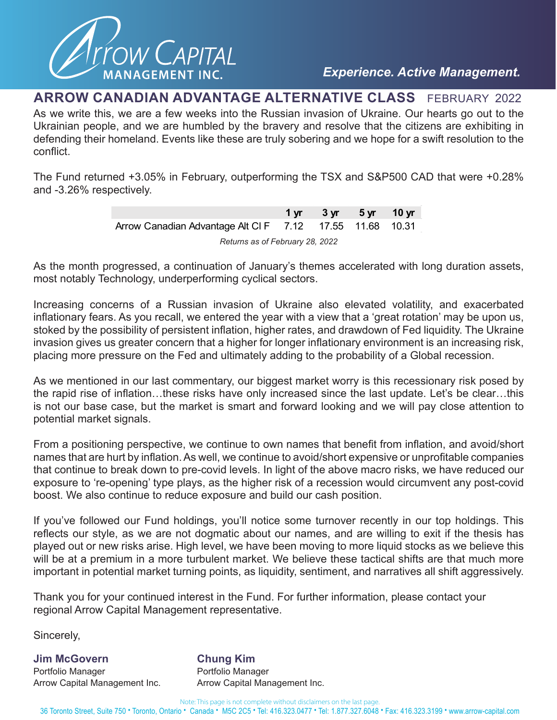

## **ARROW CANADIAN ADVANTAGE ALTERNATIVE CLASS** FEBRUARY 2022

As we write this, we are a few weeks into the Russian invasion of Ukraine. Our hearts go out to the Ukrainian people, and we are humbled by the bravery and resolve that the citizens are exhibiting in defending their homeland. Events like these are truly sobering and we hope for a swift resolution to the conflict.

The Fund returned +3.05% in February, outperforming the TSX and S&P500 CAD that were +0.28% and -3.26% respectively.

|                                                         |  | $1 \text{ yr}$ $3 \text{ yr}$ $5 \text{ yr}$ $10 \text{ yr}$ |  |  |  |
|---------------------------------------------------------|--|--------------------------------------------------------------|--|--|--|
| Arrow Canadian Advantage Alt CIF 7.12 17.55 11.68 10.31 |  |                                                              |  |  |  |
| Returns as of February 28, 2022                         |  |                                                              |  |  |  |

As the month progressed, a continuation of January's themes accelerated with long duration assets, most notably Technology, underperforming cyclical sectors.

Increasing concerns of a Russian invasion of Ukraine also elevated volatility, and exacerbated inflationary fears. As you recall, we entered the year with a view that a 'great rotation' may be upon us, stoked by the possibility of persistent inflation, higher rates, and drawdown of Fed liquidity. The Ukraine invasion gives us greater concern that a higher for longer inflationary environment is an increasing risk, placing more pressure on the Fed and ultimately adding to the probability of a Global recession.

As we mentioned in our last commentary, our biggest market worry is this recessionary risk posed by the rapid rise of inflation…these risks have only increased since the last update. Let's be clear…this is not our base case, but the market is smart and forward looking and we will pay close attention to potential market signals.

From a positioning perspective, we continue to own names that benefit from inflation, and avoid/short names that are hurt by inflation. As well, we continue to avoid/short expensive or unprofitable companies that continue to break down to pre-covid levels. In light of the above macro risks, we have reduced our exposure to 're-opening' type plays, as the higher risk of a recession would circumvent any post-covid boost. We also continue to reduce exposure and build our cash position.

If you've followed our Fund holdings, you'll notice some turnover recently in our top holdings. This reflects our style, as we are not dogmatic about our names, and are willing to exit if the thesis has played out or new risks arise. High level, we have been moving to more liquid stocks as we believe this will be at a premium in a more turbulent market. We believe these tactical shifts are that much more important in potential market turning points, as liquidity, sentiment, and narratives all shift aggressively.

Thank you for your continued interest in the Fund. For further information, please contact your regional Arrow Capital Management representative.

Sincerely,

**Jim McGovern Given Chung Kim**<br>Portfolio Manager Given Cortfolio Manager Portfolio Manager

Arrow Capital Management Inc. **Arrow Capital Management Inc.** 

Note: This page is not complete without disclaimers on the last page. 36 Toronto Street, Suite 750 • Toronto, Ontario • Canada • M5C 2C5 • Tel: 416.323.0477 • Tel: 1.877.327.6048 • Fax: 416.323.3199 • www.arrow-capital.com